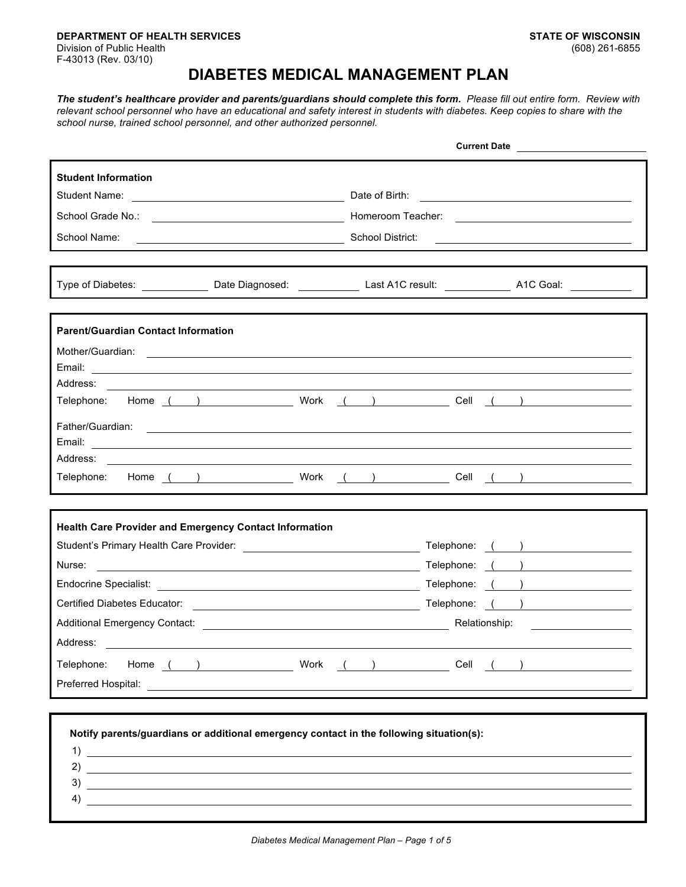**DEPARTMENT OF HEALTH SERVICES STATE OF WISCONSIN** Division of Public Health F-43013 (Rev. 03/10)

## **DIABETES MEDICAL MANAGEMENT PLAN**

*The student's healthcare provider and parents/guardians should complete this form. Please fill out entire form. Review with*  relevant school personnel who have an educational and safety interest in students with diabetes. Keep copies to share with the *school nurse, trained school personnel, and other authorized personnel.*

|                                                                                                                                                                                                                                                                                                                                                                                            | <b>Current Date</b>                                                                                                                                                                                                                  |
|--------------------------------------------------------------------------------------------------------------------------------------------------------------------------------------------------------------------------------------------------------------------------------------------------------------------------------------------------------------------------------------------|--------------------------------------------------------------------------------------------------------------------------------------------------------------------------------------------------------------------------------------|
| <b>Student Information</b>                                                                                                                                                                                                                                                                                                                                                                 |                                                                                                                                                                                                                                      |
|                                                                                                                                                                                                                                                                                                                                                                                            |                                                                                                                                                                                                                                      |
|                                                                                                                                                                                                                                                                                                                                                                                            |                                                                                                                                                                                                                                      |
| School Name:<br>School District:                                                                                                                                                                                                                                                                                                                                                           | <u> 2008 - An Dùbhlachd ann an Dùbhlachd ann an Dùbhlachd ann an Dùbhlachd ann an Dùbhlachd ann an Dùbhlachd ann an </u>                                                                                                             |
|                                                                                                                                                                                                                                                                                                                                                                                            |                                                                                                                                                                                                                                      |
|                                                                                                                                                                                                                                                                                                                                                                                            | Type of Diabetes: ____________________Date Diagnosed: ________________Last A1C result: _______________________A1C Goal: ______________                                                                                               |
| <b>Parent/Guardian Contact Information</b>                                                                                                                                                                                                                                                                                                                                                 |                                                                                                                                                                                                                                      |
| Mother/Guardian: Notice of the Contract of the Contract of the Contract of the Contract of the Contract of the Contract of the Contract of the Contract of the Contract of the Contract of the Contract of the Contract of the                                                                                                                                                             |                                                                                                                                                                                                                                      |
|                                                                                                                                                                                                                                                                                                                                                                                            |                                                                                                                                                                                                                                      |
| Address:<br>and the control of the control of the control of the control of the control of the control of the control of the                                                                                                                                                                                                                                                               | Telephone: Home ( ) Work ( ) Cell ( )                                                                                                                                                                                                |
|                                                                                                                                                                                                                                                                                                                                                                                            |                                                                                                                                                                                                                                      |
|                                                                                                                                                                                                                                                                                                                                                                                            |                                                                                                                                                                                                                                      |
|                                                                                                                                                                                                                                                                                                                                                                                            |                                                                                                                                                                                                                                      |
|                                                                                                                                                                                                                                                                                                                                                                                            | Telephone: Home () Work () Cell ()                                                                                                                                                                                                   |
|                                                                                                                                                                                                                                                                                                                                                                                            |                                                                                                                                                                                                                                      |
| <b>Health Care Provider and Emergency Contact Information</b>                                                                                                                                                                                                                                                                                                                              |                                                                                                                                                                                                                                      |
| Student's Primary Health Care Provider:<br><u> and Contract Contract Contract Contract Contract Contract Contract Contract Contract Contract Contract Contra</u>                                                                                                                                                                                                                           | Telephone: ( )                                                                                                                                                                                                                       |
| Nurse:<br><u> 1989 - Johann Harry Harry Harry Harry Harry Harry Harry Harry Harry Harry Harry Harry Harry Harry Harry Harry</u>                                                                                                                                                                                                                                                            | Telephone: ()                                                                                                                                                                                                                        |
|                                                                                                                                                                                                                                                                                                                                                                                            | Telephone: ()                                                                                                                                                                                                                        |
|                                                                                                                                                                                                                                                                                                                                                                                            | Certified Diabetes Educator: <u>(executive and the set of the set of the set of the set of the set of the set of the set of the set of the set of the set of the set of the set of the set of the set of the set of the set of t</u> |
|                                                                                                                                                                                                                                                                                                                                                                                            | Additional Emergency Contact: <u>example and the set of the set of the set of the set of the set of the set of the set of the set of the set of the set of the set of the set of the set of the set of the set of the set of the</u> |
| Address:                                                                                                                                                                                                                                                                                                                                                                                   |                                                                                                                                                                                                                                      |
| Telephone:                                                                                                                                                                                                                                                                                                                                                                                 | Home ( ) Work ( ) Cell ( )                                                                                                                                                                                                           |
|                                                                                                                                                                                                                                                                                                                                                                                            |                                                                                                                                                                                                                                      |
|                                                                                                                                                                                                                                                                                                                                                                                            |                                                                                                                                                                                                                                      |
|                                                                                                                                                                                                                                                                                                                                                                                            |                                                                                                                                                                                                                                      |
| Notify parents/guardians or additional emergency contact in the following situation(s):                                                                                                                                                                                                                                                                                                    |                                                                                                                                                                                                                                      |
| $\overline{1}$ $\overline{1}$ $\overline{1}$ $\overline{1}$ $\overline{1}$ $\overline{1}$ $\overline{1}$ $\overline{1}$ $\overline{1}$ $\overline{1}$ $\overline{1}$ $\overline{1}$ $\overline{1}$ $\overline{1}$ $\overline{1}$ $\overline{1}$ $\overline{1}$ $\overline{1}$ $\overline{1}$ $\overline{1}$ $\overline{1}$ $\overline{1}$ $\overline{1}$ $\overline{1}$ $\overline{$<br>2) |                                                                                                                                                                                                                                      |
| <u> 1989 - Johann Stein, mars an deus Amerikaansk kommunister (</u><br>3)                                                                                                                                                                                                                                                                                                                  |                                                                                                                                                                                                                                      |
| 4)                                                                                                                                                                                                                                                                                                                                                                                         |                                                                                                                                                                                                                                      |
|                                                                                                                                                                                                                                                                                                                                                                                            |                                                                                                                                                                                                                                      |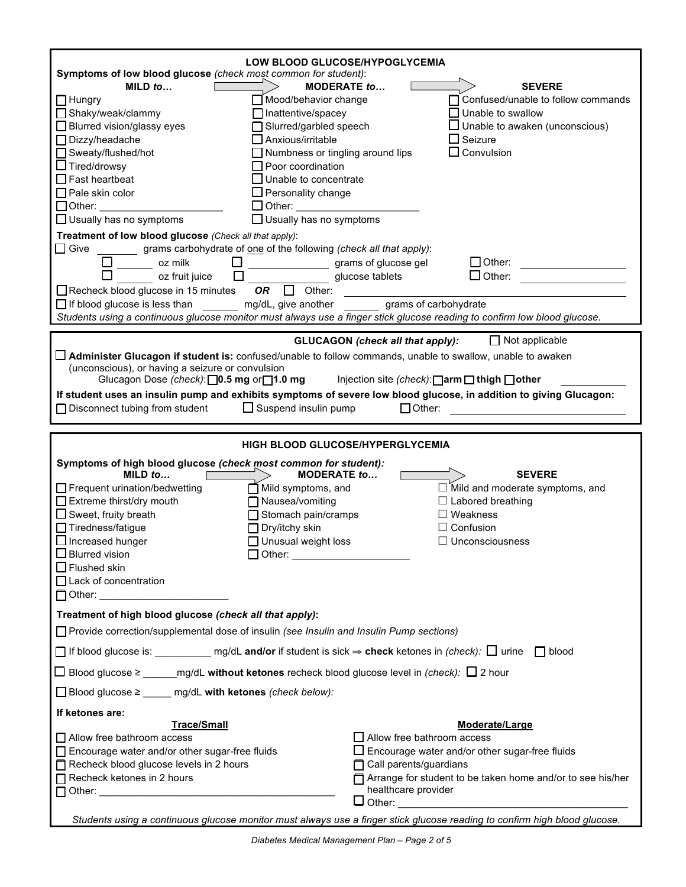| LOW BLOOD GLUCOSE/HYPOGLYCEMIA<br>Symptoms of low blood glucose (check most common for student):<br>MILD $to$<br><b>MODERATE to</b><br>■Mood/behavior change<br>$\Box$ Hungry<br>Shaky/weak/clammy<br>$\Box$ Inattentive/spacey<br>□ Blurred vision/glassy eyes<br>Slurred/garbled speech<br>□ Dizzy/headache<br>$\Box$ Anxious/irritable<br>□ Sweaty/flushed/hot<br>$\Box$ Numbness or tingling around lips<br>$\Box$ Tired/drowsy<br>$\Box$ Poor coordination<br>$\Box$ Fast heartbeat<br>$\square$ Unable to concentrate<br>$\Box$ Pale skin color<br>$\Box$ Personality change<br>□ Other: ___________<br>$\Box$ Other: $\_\_$<br>$\Box$ Usually has no symptoms<br>$\Box$ Usually has no symptoms | <b>SEVERE</b><br>Confused/unable to follow commands<br>Unable to swallow<br>□ Unable to awaken (unconscious)<br>$\Box$ Seizure<br>$\Box$ Convulsion                                                                                                 |  |
|--------------------------------------------------------------------------------------------------------------------------------------------------------------------------------------------------------------------------------------------------------------------------------------------------------------------------------------------------------------------------------------------------------------------------------------------------------------------------------------------------------------------------------------------------------------------------------------------------------------------------------------------------------------------------------------------------------|-----------------------------------------------------------------------------------------------------------------------------------------------------------------------------------------------------------------------------------------------------|--|
| Treatment of low blood glucose (Check all that apply):<br>$\Box$ Give grams carbohydrate of one of the following (check all that apply):<br>$\Box$<br>$\frac{1}{\sqrt{1-\frac{1}{2}}}$ oz milk<br>grams of glucose gel<br>$\Box$<br>ΙI<br>oz fruit juice<br>Recheck blood glucose in 15 minutes<br>OR $\Box$ Other:<br>□ If blood glucose is less than _______ mg/dL, give another ______ grams of carbohydrate<br>Students using a continuous glucose monitor must always use a finger stick glucose reading to confirm low blood glucose.                                                                                                                                                            | $\Box$ Other:<br>glucose tablets<br>$\Box$ Other:                                                                                                                                                                                                   |  |
| $\Box$ Not applicable<br><b>GLUCAGON</b> (check all that apply):<br>□ Administer Glucagon if student is: confused/unable to follow commands, unable to swallow, unable to awaken<br>(unconscious), or having a seizure or convulsion<br>Glucagon Dose (check): 0.5 mg or 1.0 mg<br>Injection site (check): $\Box$ arm $\Box$ thigh $\Box$ other<br>If student uses an insulin pump and exhibits symptoms of severe low blood glucose, in addition to giving Glucagon:<br>$\Box$ Disconnect tubing from student<br>$\Box$ Suspend insulin pump<br>$\Box$ Other:                                                                                                                                         |                                                                                                                                                                                                                                                     |  |
| HIGH BLOOD GLUCOSE/HYPERGLYCEMIA<br>Symptoms of high blood glucose (check most common for student):<br>MILD $to$<br><b>MODERATE to</b><br>Frequent urination/bedwetting<br>$\prod$ Mild symptoms, and<br>Extreme thirst/dry mouth<br>□ Nausea/vomiting<br>$\Box$ Sweet, fruity breath<br>$\Box$ Stomach pain/cramps<br>$\Box$ Tiredness/fatigue<br>$\Box$ Dry/itchy skin<br>$\Box$ Increased hunger<br>$\Box$ Unusual weight loss<br>$\Box$ Blurred vision<br>$\Box$ Flushed skin<br>$\Box$ Lack of concentration<br>□ Other: ________________________                                                                                                                                                 | <b>SEVERE</b><br>$\Box$ Mild and moderate symptoms, and<br>$\Box$ Labored breathing<br>$\Box$ Weakness<br>$\Box$ Confusion<br>$\Box$ Unconsciousness                                                                                                |  |
| Treatment of high blood glucose (check all that apply):<br>□ Provide correction/supplemental dose of insulin (see Insulin and Insulin Pump sections)<br>$\Box$ If blood glucose is: ______________ mg/dL and/or if student is sick $\Rightarrow$ check ketones in (check): $\Box$ urine $\Box$ blood<br>□ Blood glucose ≥ _______ mg/dL without ketones recheck blood glucose level in (check): □ 2 hour<br>$\Box$ Blood glucose $\geq$ _____ mg/dL with ketones (check below):                                                                                                                                                                                                                        |                                                                                                                                                                                                                                                     |  |
| If ketones are:<br><b>Trace/Small</b><br>$\Box$ Allow free bathroom access<br>$\Box$ Encourage water and/or other sugar-free fluids<br>Recheck blood glucose levels in 2 hours<br>Recheck ketones in 2 hours<br>$\Box$ Other:<br>Students using a continuous glucose monitor must always use a finger stick glucose reading to confirm high blood glucose.                                                                                                                                                                                                                                                                                                                                             | Moderate/Large<br>$\Box$ Allow free bathroom access<br>$\Box$ Encourage water and/or other sugar-free fluids<br>$\Box$ Call parents/guardians<br>Arrange for student to be taken home and/or to see his/her<br>healthcare provider<br>$\Box$ Other: |  |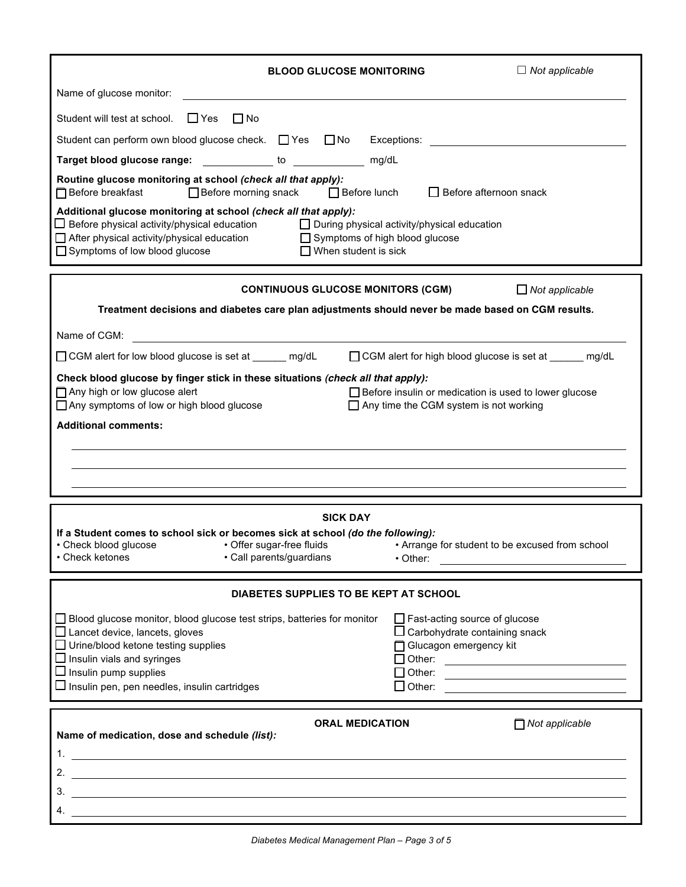| <b>BLOOD GLUCOSE MONITORING</b>                                                                                                                                                                                                                                                              | $\Box$ Not applicable                                                                                                                       |
|----------------------------------------------------------------------------------------------------------------------------------------------------------------------------------------------------------------------------------------------------------------------------------------------|---------------------------------------------------------------------------------------------------------------------------------------------|
| Name of glucose monitor:                                                                                                                                                                                                                                                                     |                                                                                                                                             |
| $\Box$ Yes<br>Student will test at school.<br>$\Box$ No                                                                                                                                                                                                                                      |                                                                                                                                             |
| Student can perform own blood glucose check. □ Yes □ No Exceptions: ____________________                                                                                                                                                                                                     |                                                                                                                                             |
| Target blood glucose range: _____________ to _______________ mg/dL                                                                                                                                                                                                                           |                                                                                                                                             |
| Routine glucose monitoring at school (check all that apply):<br>□ Before breakfast<br>□ Before morning snack □ Before lunch                                                                                                                                                                  | $\Box$ Before afternoon snack                                                                                                               |
| Additional glucose monitoring at school (check all that apply):<br>$\Box$ Before physical activity/physical education<br>□ After physical activity/physical education □ Symptoms of high blood glucose<br>$\Box$ Symptoms of low blood glucose<br>$\Box$ When student is sick                | $\Box$ During physical activity/physical education                                                                                          |
| <b>CONTINUOUS GLUCOSE MONITORS (CGM)</b>                                                                                                                                                                                                                                                     | $\Box$ Not applicable                                                                                                                       |
| Treatment decisions and diabetes care plan adjustments should never be made based on CGM results.                                                                                                                                                                                            |                                                                                                                                             |
| Name of CGM:<br><u> 1980 - Jan Samuel Barbara, martin di</u>                                                                                                                                                                                                                                 |                                                                                                                                             |
| □ CGM alert for low blood glucose is set at ______ mg/dL                                                                                                                                                                                                                                     | □ CGM alert for high blood glucose is set at mg/dL                                                                                          |
| Check blood glucose by finger stick in these situations (check all that apply):<br>Any high or low glucose alert<br>$\Box$ Any symptoms of low or high blood glucose<br><b>Additional comments:</b>                                                                                          | Before insulin or medication is used to lower glucose<br>$\Box$ Any time the CGM system is not working                                      |
|                                                                                                                                                                                                                                                                                              |                                                                                                                                             |
| <b>SICK DAY</b>                                                                                                                                                                                                                                                                              |                                                                                                                                             |
| If a Student comes to school sick or becomes sick at school (do the following):                                                                                                                                                                                                              |                                                                                                                                             |
| • Offer sugar-free fluids<br>• Check blood glucose<br>· Call parents/guardians<br>• Check ketones                                                                                                                                                                                            | • Arrange for student to be excused from school<br>$\cdot$ Other:                                                                           |
|                                                                                                                                                                                                                                                                                              |                                                                                                                                             |
| DIABETES SUPPLIES TO BE KEPT AT SCHOOL                                                                                                                                                                                                                                                       |                                                                                                                                             |
| □ Blood glucose monitor, blood glucose test strips, batteries for monitor<br>$\Box$ Lancet device, lancets, gloves<br>$\Box$ Urine/blood ketone testing supplies<br>$\Box$ Insulin vials and syringes<br>$\Box$ Insulin pump supplies<br>$\Box$ Insulin pen, pen needles, insulin cartridges | $\Box$ Fast-acting source of glucose<br>$\square$ Carbohydrate containing snack<br>Glucagon emergency kit<br>$\Box$ Other:<br>$\Box$ Other: |
|                                                                                                                                                                                                                                                                                              |                                                                                                                                             |
| <b>ORAL MEDICATION</b><br>Name of medication, dose and schedule (list):                                                                                                                                                                                                                      | $\Box$ Not applicable                                                                                                                       |
| 1.<br><u> 1989 - Johann Stoff, deutscher Stoffen und der Stoffen und der Stoffen und der Stoffen und der Stoffen und der</u>                                                                                                                                                                 |                                                                                                                                             |
|                                                                                                                                                                                                                                                                                              |                                                                                                                                             |
|                                                                                                                                                                                                                                                                                              |                                                                                                                                             |
|                                                                                                                                                                                                                                                                                              |                                                                                                                                             |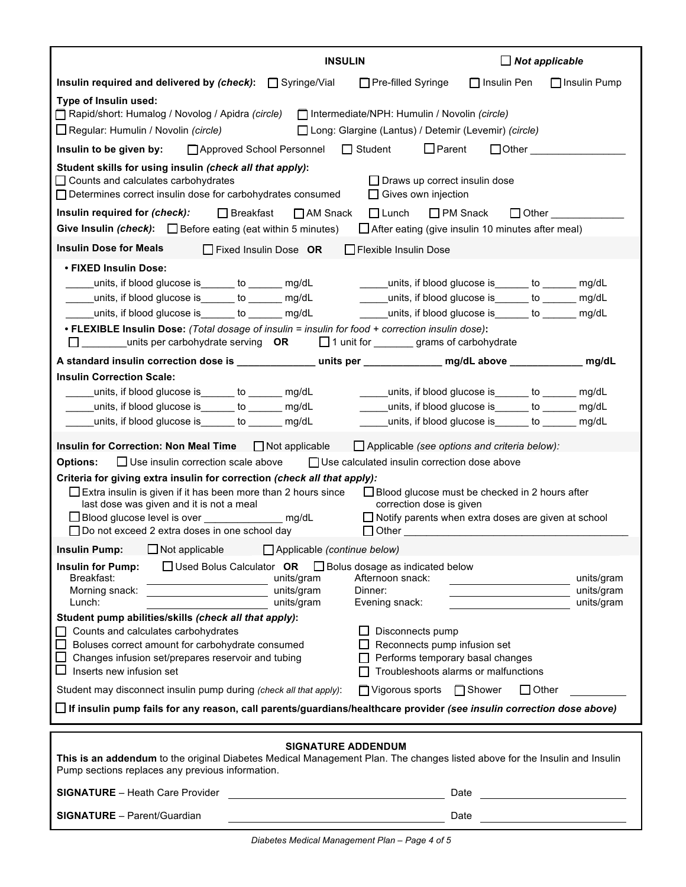|                                                                                                                                                                                                                                                                                                                                                                                                                                                                                                                                               | $\Box$ Not applicable<br><b>INSULIN</b>                                                                                                                                                                                              |  |
|-----------------------------------------------------------------------------------------------------------------------------------------------------------------------------------------------------------------------------------------------------------------------------------------------------------------------------------------------------------------------------------------------------------------------------------------------------------------------------------------------------------------------------------------------|--------------------------------------------------------------------------------------------------------------------------------------------------------------------------------------------------------------------------------------|--|
| Insulin required and delivered by $(check): \Box$ Syringe/Vial                                                                                                                                                                                                                                                                                                                                                                                                                                                                                | □ Pre-filled Syringe<br>$\Box$ Insulin Pen<br>$\Box$ Insulin Pump                                                                                                                                                                    |  |
| Type of Insulin used:<br>□ Rapid/short: Humalog / Novolog / Apidra (circle) □ Intermediate/NPH: Humulin / Novolin (circle)<br>$\Box$ Regular: Humulin / Novolin (circle)                                                                                                                                                                                                                                                                                                                                                                      | Long: Glargine (Lantus) / Detemir (Levemir) (circle)                                                                                                                                                                                 |  |
| Insulin to be given by:<br>□ Approved School Personnel □ Student                                                                                                                                                                                                                                                                                                                                                                                                                                                                              | $\Box$ Other $\_\_\_\_\_\_\_\_\_\_\_\_$<br>$\square$ Parent                                                                                                                                                                          |  |
| Student skills for using insulin (check all that apply):<br>$\Box$ Counts and calculates carbohydrates<br>□ Determines correct insulin dose for carbohydrates consumed                                                                                                                                                                                                                                                                                                                                                                        | $\Box$ Draws up correct insulin dose<br>$\Box$ Gives own injection                                                                                                                                                                   |  |
| Insulin required for (check):<br>□ AM Snack<br>$\Box$ Breakfast<br>Give Insulin (check): $\Box$ Before eating (eat within 5 minutes) $\Box$ After eating (give insulin 10 minutes after meal)                                                                                                                                                                                                                                                                                                                                                 | $\square$ PM Snack<br>$\Box$ Lunch<br>$\Box$ Other                                                                                                                                                                                   |  |
|                                                                                                                                                                                                                                                                                                                                                                                                                                                                                                                                               |                                                                                                                                                                                                                                      |  |
| <b>Insulin Dose for Meals</b><br>$\Box$ Fixed Insulin Dose OR                                                                                                                                                                                                                                                                                                                                                                                                                                                                                 | □ Flexible Insulin Dose                                                                                                                                                                                                              |  |
| • FIXED Insulin Dose:<br>_units, if blood glucose is______ to ______ mg/dL<br>$\mathcal{L}(\mathcal{L})$<br>_____units, if blood glucose is_______ to _______ mg/dL __________units, if blood glucose is_______ to _______ mg/dL<br>• FLEXIBLE Insulin Dose: (Total dosage of insulin = insulin for food + correction insulin dose):<br>$\square$ ___________ units per carbohydrate serving $\,\,\mathrm{OR}$                                                                                                                                | _____units, if blood glucose is______ to ______ mg/dL<br>_units, if blood glucose is______ to ______ mg/dL      _____units, if blood glucose is______ to ______ mg/dL<br>1 unit for __________ grams of carbohydrate                 |  |
| A standard insulin correction dose is ________________ units per _______________ mg/dL above _____________ mg/dL                                                                                                                                                                                                                                                                                                                                                                                                                              |                                                                                                                                                                                                                                      |  |
| <b>Insulin Correction Scale:</b><br>_units, if blood glucose is______ to ______ mg/dL<br>_units, if blood glucose is_______ to _______ mg/dL                                                                                                                                                                                                                                                                                                                                                                                                  | _____units, if blood glucose is______ to ______ mg/dL<br>_units, if blood glucose is_______ to _______ mg/dL_     _____units, if blood glucose is_______ to ______ mg/dL<br>______units, if blood glucose is_______ to _______ mg/dL |  |
| Insulin for Correction: Non Meal Time $\Box$ Not applicable $\Box$ Applicable (see options and criteria below):                                                                                                                                                                                                                                                                                                                                                                                                                               |                                                                                                                                                                                                                                      |  |
| $\Box$ Use insulin correction scale above $\Box$ Use calculated insulin correction dose above<br><b>Options:</b><br>Criteria for giving extra insulin for correction (check all that apply):<br>$\Box$ Extra insulin is given if it has been more than 2 hours since<br>$\Box$ Blood glucose must be checked in 2 hours after<br>last dose was given and it is not a meal<br>correction dose is given<br>$\Box$ Notify parents when extra doses are given at school<br>□ Do not exceed 2 extra doses in one school day<br>$\Box$ Other $\Box$ |                                                                                                                                                                                                                                      |  |
| <b>Insulin Pump:</b> $\Box$ Not applicable $\Box$ Applicable (continue below)                                                                                                                                                                                                                                                                                                                                                                                                                                                                 |                                                                                                                                                                                                                                      |  |
| $\Box$ Used Bolus Calculator OR $\Box$ Bolus dosage as indicated below<br><b>Insulin for Pump:</b><br>Breakfast:<br>units/gram<br>Morning snack:<br>units/gram<br><u> 1980 - Johann Barbara, martxa a</u><br>Lunch:<br>units/gram                                                                                                                                                                                                                                                                                                             | Afternoon snack:<br>units/gram<br>units/gram<br>Dinner:<br>units/gram<br>Evening snack:                                                                                                                                              |  |
| Student pump abilities/skills (check all that apply):<br>Counts and calculates carbohydrates<br>Boluses correct amount for carbohydrate consumed<br>Changes infusion set/prepares reservoir and tubing<br>Inserts new infusion set                                                                                                                                                                                                                                                                                                            | Disconnects pump<br>Reconnects pump infusion set<br>Performs temporary basal changes<br>Troubleshoots alarms or malfunctions                                                                                                         |  |
| Student may disconnect insulin pump during (check all that apply):                                                                                                                                                                                                                                                                                                                                                                                                                                                                            | □ Vigorous sports □ Shower<br>$\Box$ Other                                                                                                                                                                                           |  |
| $\square$ If insulin pump fails for any reason, call parents/guardians/healthcare provider (see insulin correction dose above)                                                                                                                                                                                                                                                                                                                                                                                                                |                                                                                                                                                                                                                                      |  |
| <b>SIGNATURE ADDENDUM</b><br>This is an addendum to the original Diabetes Medical Management Plan. The changes listed above for the Insulin and Insulin<br>Pump sections replaces any previous information.                                                                                                                                                                                                                                                                                                                                   |                                                                                                                                                                                                                                      |  |
| <b>SIGNATURE</b> - Heath Care Provider                                                                                                                                                                                                                                                                                                                                                                                                                                                                                                        | Date                                                                                                                                                                                                                                 |  |
| <b>SIGNATURE</b> - Parent/Guardian                                                                                                                                                                                                                                                                                                                                                                                                                                                                                                            | Date                                                                                                                                                                                                                                 |  |